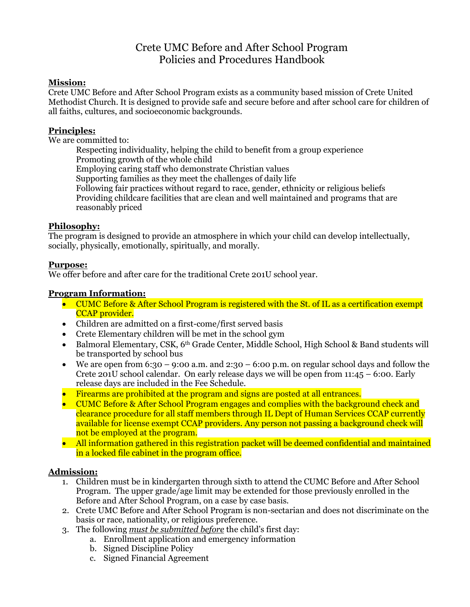# Crete UMC Before and After School Program Policies and Procedures Handbook

## **Mission:**

Crete UMC Before and After School Program exists as a community based mission of Crete United Methodist Church. It is designed to provide safe and secure before and after school care for children of all faiths, cultures, and socioeconomic backgrounds.

### **Principles:**

We are committed to:

Respecting individuality, helping the child to benefit from a group experience Promoting growth of the whole child Employing caring staff who demonstrate Christian values Supporting families as they meet the challenges of daily life Following fair practices without regard to race, gender, ethnicity or religious beliefs Providing childcare facilities that are clean and well maintained and programs that are reasonably priced

### **Philosophy:**

The program is designed to provide an atmosphere in which your child can develop intellectually, socially, physically, emotionally, spiritually, and morally.

#### **Purpose:**

We offer before and after care for the traditional Crete 201U school year.

#### **Program Information:**

- CUMC Before & After School Program is registered with the St. of IL as a certification exempt CCAP provider.
- Children are admitted on a first-come/first served basis
- Crete Elementary children will be met in the school gym
- Balmoral Elementary, CSK, 6<sup>th</sup> Grade Center, Middle School, High School & Band students will be transported by school bus
- We are open from 6:30 9:00 a.m. and 2:30 6:00 p.m. on regular school days and follow the Crete 201U school calendar. On early release days we will be open from 11:45 – 6:00. Early release days are included in the Fee Schedule.
- Firearms are prohibited at the program and signs are posted at all entrances.
- CUMC Before & After School Program engages and complies with the background check and clearance procedure for all staff members through IL Dept of Human Services CCAP currently available for license exempt CCAP providers. Any person not passing a background check will not be employed at the program.
- All information gathered in this registration packet will be deemed confidential and maintained in a locked file cabinet in the program office.

#### **Admission:**

- 1. Children must be in kindergarten through sixth to attend the CUMC Before and After School Program. The upper grade/age limit may be extended for those previously enrolled in the Before and After School Program, on a case by case basis.
- 2. Crete UMC Before and After School Program is non-sectarian and does not discriminate on the basis or race, nationality, or religious preference.
- 3. The following *must be submitted before* the child's first day:
	- a. Enrollment application and emergency information
	- b. Signed Discipline Policy
	- c. Signed Financial Agreement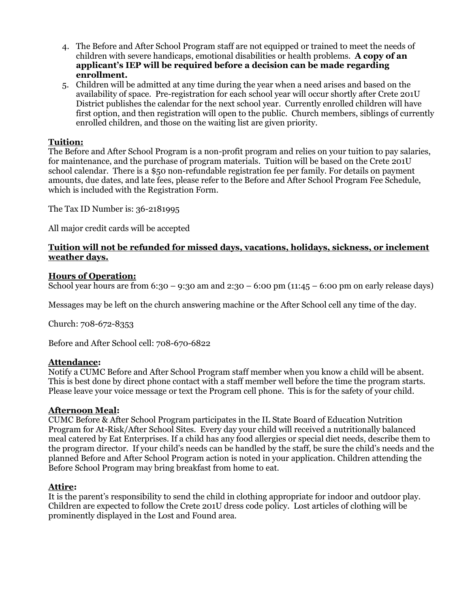- 4. The Before and After School Program staff are not equipped or trained to meet the needs of children with severe handicaps, emotional disabilities or health problems. **A copy of an applicant's IEP will be required before a decision can be made regarding enrollment.**
- 5. Children will be admitted at any time during the year when a need arises and based on the availability of space. Pre-registration for each school year will occur shortly after Crete 201U District publishes the calendar for the next school year. Currently enrolled children will have first option, and then registration will open to the public. Church members, siblings of currently enrolled children, and those on the waiting list are given priority.

# **Tuition:**

The Before and After School Program is a non-profit program and relies on your tuition to pay salaries, for maintenance, and the purchase of program materials. Tuition will be based on the Crete 201U school calendar. There is a \$50 non-refundable registration fee per family. For details on payment amounts, due dates, and late fees, please refer to the Before and After School Program Fee Schedule, which is included with the Registration Form.

The Tax ID Number is: 36-2181995

All major credit cards will be accepted

# **Tuition will not be refunded for missed days, vacations, holidays, sickness, or inclement weather days.**

### **Hours of Operation:**

School year hours are from  $6:30 - 9:30$  am and  $2:30 - 6:00$  pm  $(11:45 - 6:00$  pm on early release days)

Messages may be left on the church answering machine or the After School cell any time of the day.

Church: 708-672-8353

Before and After School cell: 708-670-6822

#### **Attendance:**

Notify a CUMC Before and After School Program staff member when you know a child will be absent. This is best done by direct phone contact with a staff member well before the time the program starts. Please leave your voice message or text the Program cell phone. This is for the safety of your child.

#### **Afternoon Meal:**

CUMC Before & After School Program participates in the IL State Board of Education Nutrition Program for At-Risk/After School Sites. Every day your child will received a nutritionally balanced meal catered by Eat Enterprises. If a child has any food allergies or special diet needs, describe them to the program director. If your child's needs can be handled by the staff, be sure the child's needs and the planned Before and After School Program action is noted in your application. Children attending the Before School Program may bring breakfast from home to eat.

#### **Attire:**

It is the parent's responsibility to send the child in clothing appropriate for indoor and outdoor play. Children are expected to follow the Crete 201U dress code policy. Lost articles of clothing will be prominently displayed in the Lost and Found area.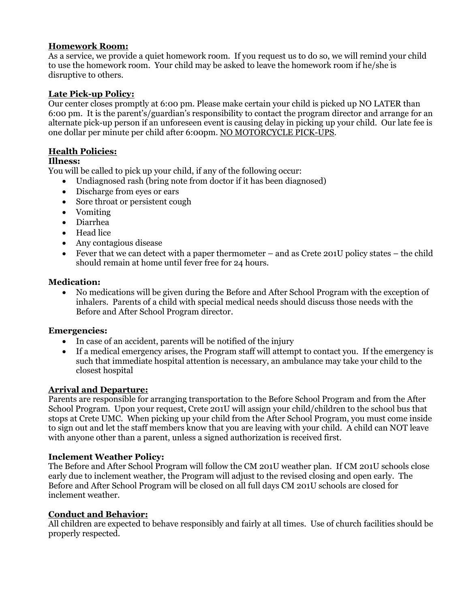# **Homework Room:**

As a service, we provide a quiet homework room. If you request us to do so, we will remind your child to use the homework room. Your child may be asked to leave the homework room if he/she is disruptive to others.

# **Late Pick-up Policy:**

Our center closes promptly at 6:00 pm. Please make certain your child is picked up NO LATER than 6:00 pm. It is the parent's/guardian's responsibility to contact the program director and arrange for an alternate pick-up person if an unforeseen event is causing delay in picking up your child. Our late fee is one dollar per minute per child after 6:00pm. NO MOTORCYCLE PICK-UPS.

# **Health Policies:**

# **Illness:**

You will be called to pick up your child, if any of the following occur:

- Undiagnosed rash (bring note from doctor if it has been diagnosed)
- Discharge from eyes or ears
- Sore throat or persistent cough
- Vomiting
- Diarrhea
- Head lice
- Any contagious disease
- Fever that we can detect with a paper thermometer and as Crete 201U policy states the child should remain at home until fever free for 24 hours.

# **Medication:**

 No medications will be given during the Before and After School Program with the exception of inhalers. Parents of a child with special medical needs should discuss those needs with the Before and After School Program director.

# **Emergencies:**

- In case of an accident, parents will be notified of the injury
- If a medical emergency arises, the Program staff will attempt to contact you. If the emergency is such that immediate hospital attention is necessary, an ambulance may take your child to the closest hospital

# **Arrival and Departure:**

Parents are responsible for arranging transportation to the Before School Program and from the After School Program. Upon your request, Crete 201U will assign your child/children to the school bus that stops at Crete UMC. When picking up your child from the After School Program, you must come inside to sign out and let the staff members know that you are leaving with your child. A child can NOT leave with anyone other than a parent, unless a signed authorization is received first.

#### **Inclement Weather Policy:**

The Before and After School Program will follow the CM 201U weather plan. If CM 201U schools close early due to inclement weather, the Program will adjust to the revised closing and open early. The Before and After School Program will be closed on all full days CM 201U schools are closed for inclement weather.

# **Conduct and Behavior:**

All children are expected to behave responsibly and fairly at all times. Use of church facilities should be properly respected.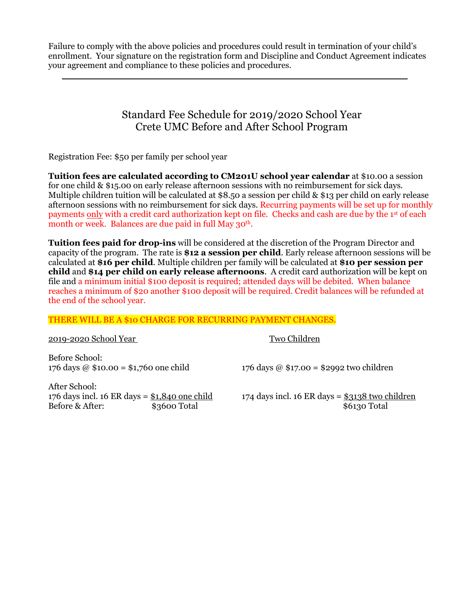Failure to comply with the above policies and procedures could result in termination of your child's enrollment. Your signature on the registration form and Discipline and Conduct Agreement indicates your agreement and compliance to these policies and procedures.

# Standard Fee Schedule for 2019/2020 School Year Crete UMC Before and After School Program

Registration Fee: \$50 per family per school year

**Tuition fees are calculated according to CM201U school year calendar** at \$10.00 a session for one child & \$15.00 on early release afternoon sessions with no reimbursement for sick days. Multiple children tuition will be calculated at \$8.50 a session per child & \$13 per child on early release afternoon sessions with no reimbursement for sick days. Recurring payments will be set up for monthly payments only with a credit card authorization kept on file. Checks and cash are due by the 1st of each month or week. Balances are due paid in full May 30<sup>th</sup>.

**Tuition fees paid for drop-ins** will be considered at the discretion of the Program Director and capacity of the program. The rate is **\$12 a session per child**. Early release afternoon sessions will be calculated at **\$16 per child**. Multiple children per family will be calculated at **\$10 per session per child** and **\$14 per child on early release afternoons**. A credit card authorization will be kept on file and a minimum initial \$100 deposit is required; attended days will be debited. When balance reaches a minimum of \$20 another \$100 deposit will be required. Credit balances will be refunded at the end of the school year.

#### THERE WILL BE A \$10 CHARGE FOR RECURRING PAYMENT CHANGES.

#### 2019-2020 School Year Two Children

Before School: 176 days @ \$10.00 = \$1,760 one child 176 days @ \$17.00 = \$2992 two children

After School:<br>176 days incl. 16 ER days =  $$1,840$  one child Before & After: \$3600 Total \$6130 Total \$6130 Total

174 days incl. 16 ER days =  $$3138$  two children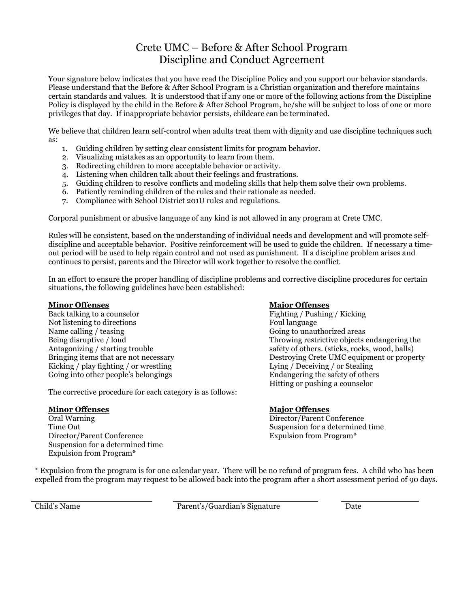# Crete UMC – Before & After School Program Discipline and Conduct Agreement

Your signature below indicates that you have read the Discipline Policy and you support our behavior standards. Please understand that the Before & After School Program is a Christian organization and therefore maintains certain standards and values. It is understood that if any one or more of the following actions from the Discipline Policy is displayed by the child in the Before & After School Program, he/she will be subject to loss of one or more privileges that day. If inappropriate behavior persists, childcare can be terminated.

We believe that children learn self-control when adults treat them with dignity and use discipline techniques such as:

- 1. Guiding children by setting clear consistent limits for program behavior.
- 2. Visualizing mistakes as an opportunity to learn from them.
- 3. Redirecting children to more acceptable behavior or activity.
- 4. Listening when children talk about their feelings and frustrations.
- 5. Guiding children to resolve conflicts and modeling skills that help them solve their own problems.
- 6. Patiently reminding children of the rules and their rationale as needed.
- 7. Compliance with School District 201U rules and regulations.

Corporal punishment or abusive language of any kind is not allowed in any program at Crete UMC.

Rules will be consistent, based on the understanding of individual needs and development and will promote selfdiscipline and acceptable behavior. Positive reinforcement will be used to guide the children. If necessary a timeout period will be used to help regain control and not used as punishment. If a discipline problem arises and continues to persist, parents and the Director will work together to resolve the conflict.

In an effort to ensure the proper handling of discipline problems and corrective discipline procedures for certain situations, the following guidelines have been established:

#### **Minor Offenses**

Back talking to a counselor Not listening to directions Name calling / teasing Being disruptive / loud Antagonizing / starting trouble Bringing items that are not necessary Kicking / play fighting / or wrestling Going into other people's belongings

The corrective procedure for each category is as follows:

#### **Minor Offenses**

Oral Warning Time Out Director/Parent Conference Suspension for a determined time Expulsion from Program\*

#### **Major Offenses**

Fighting / Pushing / Kicking Foul language Going to unauthorized areas Throwing restrictive objects endangering the safety of others. (sticks, rocks, wood, balls) Destroying Crete UMC equipment or property Lying / Deceiving / or Stealing Endangering the safety of others Hitting or pushing a counselor

#### **Major Offenses**

Director/Parent Conference Suspension for a determined time Expulsion from Program\*

\* Expulsion from the program is for one calendar year. There will be no refund of program fees. A child who has been expelled from the program may request to be allowed back into the program after a short assessment period of 90 days.

Child's Name **Parent's/Guardian's Signature** Date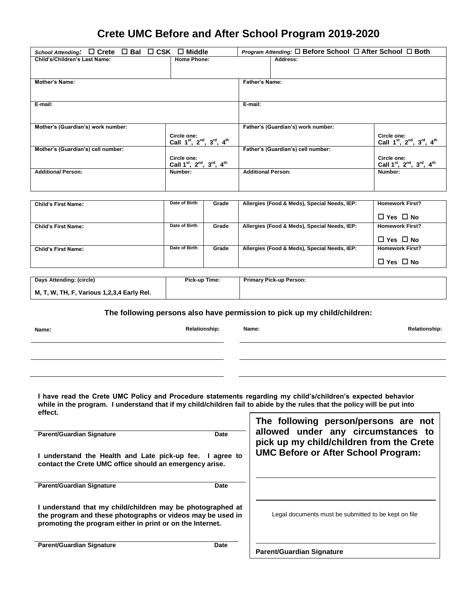# **Crete UMC Before and After School Program 2019-2020**

| School Attending: □ Crete □ Bal □ CSK □ Middle |                                                                                           | <b>Program Attending: <math>\Box</math> Before School <math>\Box</math> After School <math>\Box</math> Both</b> |                                                                                           |
|------------------------------------------------|-------------------------------------------------------------------------------------------|-----------------------------------------------------------------------------------------------------------------|-------------------------------------------------------------------------------------------|
| Child's/Children's Last Name:                  | <b>Home Phone:</b>                                                                        | Address:                                                                                                        |                                                                                           |
|                                                |                                                                                           |                                                                                                                 |                                                                                           |
| <b>Mother's Name:</b>                          |                                                                                           | <b>Father's Name:</b>                                                                                           |                                                                                           |
|                                                |                                                                                           |                                                                                                                 |                                                                                           |
| E-mail:                                        |                                                                                           | E-mail:                                                                                                         |                                                                                           |
|                                                |                                                                                           |                                                                                                                 |                                                                                           |
| Mother's (Guardian's) work number:             |                                                                                           | Father's (Guardian's) work number:                                                                              |                                                                                           |
|                                                | Circle one:<br>Call 1 <sup>st</sup> , 2 <sup>nd</sup> , 3 <sup>rd</sup> , 4 <sup>th</sup> |                                                                                                                 | Circle one:<br>Call 1 <sup>st</sup> , 2 <sup>nd</sup> , 3 <sup>rd</sup> , 4 <sup>th</sup> |
| Mother's (Guardian's) cell number:             |                                                                                           | Father's (Guardian's) cell number:                                                                              |                                                                                           |
|                                                | Circle one:<br>Call 1 <sup>st</sup> , 2 <sup>nd</sup> , 3 <sup>rd</sup> , 4 <sup>th</sup> |                                                                                                                 | Circle one:<br>Call 1 <sup>st</sup> , 2 <sup>nd</sup> , 3 <sup>rd</sup> , 4 <sup>th</sup> |
| <b>Additional Person:</b>                      | Number:                                                                                   | <b>Additional Person:</b>                                                                                       | Number:                                                                                   |
|                                                |                                                                                           |                                                                                                                 |                                                                                           |
|                                                |                                                                                           |                                                                                                                 |                                                                                           |

| <b>Child's First Name:</b> | Date of Birth | Grade | Allergies (Food & Meds), Special Needs, IEP: | <b>Homework First?</b> |
|----------------------------|---------------|-------|----------------------------------------------|------------------------|
|                            |               |       |                                              | $\Box$ Yes $\Box$ No   |
| <b>Child's First Name:</b> | Date of Birth | Grade | Allergies (Food & Meds), Special Needs, IEP: | <b>Homework First?</b> |
|                            |               |       |                                              | $\Box$ Yes $\Box$ No   |
| <b>Child's First Name:</b> | Date of Birth | Grade | Allergies (Food & Meds), Special Needs, IEP: | <b>Homework First?</b> |
|                            |               |       |                                              | $\Box$ Yes $\Box$ No   |

| Days Attending: (circle)                   | Pick-up Time: | <b>Primary Pick-up Person:</b> |
|--------------------------------------------|---------------|--------------------------------|
| M, T, W, TH, F, Various 1,2,3,4 Early Rel. |               |                                |

**The following persons also have permission to pick up my child/children:**

| × | × | ۹ |
|---|---|---|
|   |   |   |

| I have read the Crete UMC Policy and Procedure statements regarding my child's/children's expected behavior              |
|--------------------------------------------------------------------------------------------------------------------------|
| while in the program. I understand that if my child/children fail to abide by the rules that the policy will be put into |
| effect.                                                                                                                  |

| <b>Parent/Guardian Signature</b><br>Date<br>I understand the Health and Late pick-up fee. I agree to<br>contact the Crete UMC office should an emergency arise.                       | The following person/persons are not<br>allowed under any circumstances to<br>pick up my child/children from the Crete<br><b>UMC Before or After School Program:</b> |
|---------------------------------------------------------------------------------------------------------------------------------------------------------------------------------------|----------------------------------------------------------------------------------------------------------------------------------------------------------------------|
| <b>Parent/Guardian Signature</b><br>Date                                                                                                                                              |                                                                                                                                                                      |
| I understand that my child/children may be photographed at<br>the program and these photographs or videos may be used in<br>promoting the program either in print or on the Internet. | Legal documents must be submitted to be kept on file                                                                                                                 |
| <b>Parent/Guardian Signature</b><br>Date                                                                                                                                              | <b>Parent/Guardian Signature</b>                                                                                                                                     |

**Name: Relationship: Name: Relationship:**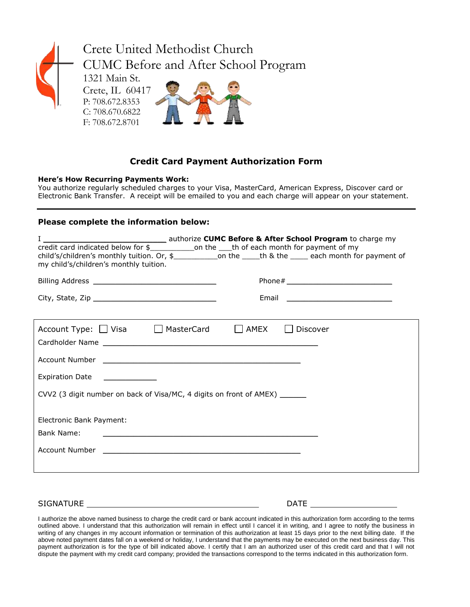

# **Credit Card Payment Authorization Form**

#### **Here's How Recurring Payments Work:**

You authorize regularly scheduled charges to your Visa, MasterCard, American Express, Discover card or Electronic Bank Transfer. A receipt will be emailed to you and each charge will appear on your statement.

#### **Please complete the information below:**

| credit card indicated below for \$________________on the ____th of each month for payment of my<br>my child's/children's monthly tuition. | authorize <b>CUMC Before &amp; After School Program</b> to charge my<br>child's/children's monthly tuition. Or, \$______________on the _____th & the _____ each month for payment of |  |
|-------------------------------------------------------------------------------------------------------------------------------------------|--------------------------------------------------------------------------------------------------------------------------------------------------------------------------------------|--|
|                                                                                                                                           |                                                                                                                                                                                      |  |
|                                                                                                                                           |                                                                                                                                                                                      |  |
|                                                                                                                                           |                                                                                                                                                                                      |  |
| Account Type: □ Visa □ MasterCard                                                                                                         | $\Box$ AMEX<br>Discover                                                                                                                                                              |  |
|                                                                                                                                           |                                                                                                                                                                                      |  |
|                                                                                                                                           |                                                                                                                                                                                      |  |
| Expiration Date ______________                                                                                                            |                                                                                                                                                                                      |  |
| CVV2 (3 digit number on back of Visa/MC, 4 digits on front of AMEX) ______                                                                |                                                                                                                                                                                      |  |
|                                                                                                                                           |                                                                                                                                                                                      |  |
| Electronic Bank Payment:                                                                                                                  |                                                                                                                                                                                      |  |
| Bank Name:<br>and the control of the control of the control of the control of the control of the control of the control of the            |                                                                                                                                                                                      |  |
| Account Number<br><u> 1989 - Johann Barbara, martin amerikan basal dan berasal dan berasal dalam basal dalam basal dan berasal dala</u>   |                                                                                                                                                                                      |  |
|                                                                                                                                           |                                                                                                                                                                                      |  |
|                                                                                                                                           |                                                                                                                                                                                      |  |

SIGNATURE DATE DATE

I authorize the above named business to charge the credit card or bank account indicated in this authorization form according to the terms outlined above. I understand that this authorization will remain in effect until I cancel it in writing, and I agree to notify the business in writing of any changes in my account information or termination of this authorization at least 15 days prior to the next billing date. If the above noted payment dates fall on a weekend or holiday, I understand that the payments may be executed on the next business day. This payment authorization is for the type of bill indicated above. I certify that I am an authorized user of this credit card and that I will not dispute the payment with my credit card company; provided the transactions correspond to the terms indicated in this authorization form.